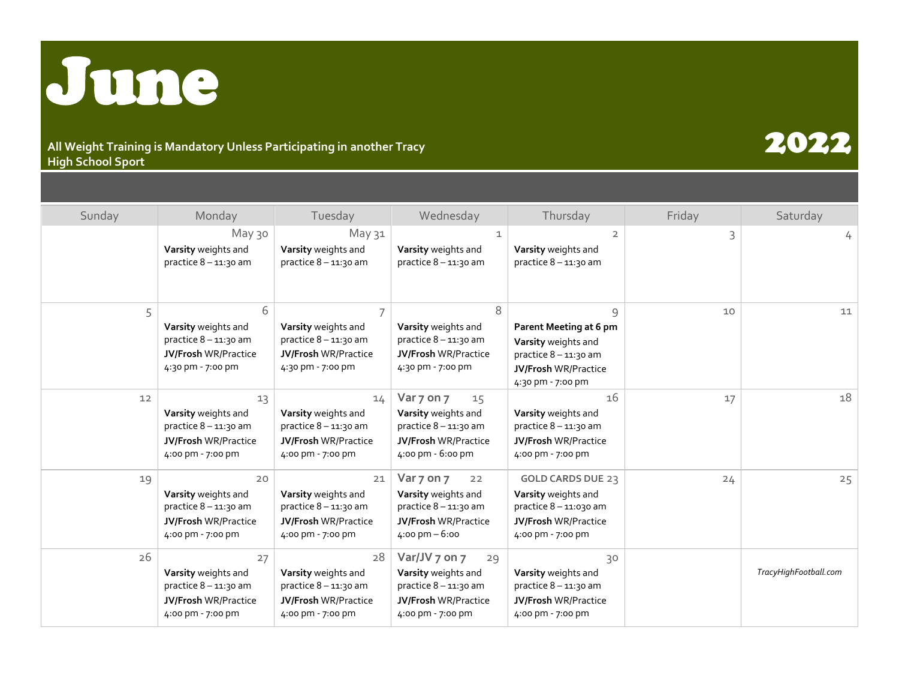

## **All Weight Training is Mandatory Unless Participating in another Tracy High School Sport**

## Sunday | Monday | Tuesday | Wednesday | Thursday | Friday | Saturday May 30 May 31  $\begin{array}{|c|c|c|c|c|}\n\hline\n1 & 2 & 3 & 3\n\end{array}$ **Varsity** weights and practice 8 – 11:30 am **Varsity** weights and practice  $8 - 11:30$  am **Varsity** weights and practice  $8 - 11:30$  am **Varsity** weights and practice 8 – 11:30 am 5 6 7 8 9 10 11 **Varsity** weights and practice  $8 - 11:30$  am **JV/Frosh** WR/Practice 4:30 pm - 7:00 pm **Varsity** weights and practice  $8 - 11:30$  am **JV/Frosh** WR/Practice 4:30 pm - 7:00 pm **Varsity** weights and practice 8 – 11:30 am **JV/Frosh** WR/Practice 4:30 pm - 7:00 pm **Parent Meeting at 6 pm Varsity** weights and practice 8 – 11:30 am **JV/Frosh** WR/Practice 4:30 pm - 7:00 pm 12  $12$  13  $13$  14  $\sqrt{ar \, 7 \, 0n \, 7}$  15  $16$  16  $17$  17 18 **Varsity** weights and practice  $8 - 11:30$  am **JV/Frosh** WR/Practice 4:00 pm - 7:00 pm **Varsity** weights and practice  $8 - 11:30$  am **JV/Frosh** WR/Practice 4:00 pm - 7:00 pm **Varsity** weights and practice  $8 - 11:30$  am **JV/Frosh** WR/Practice 4:00 pm - 6:00 pm **Varsity** weights and practice 8 – 11:30 am **JV/Frosh** WR/Practice 4:00 pm - 7:00 pm 19 20 21 **Var 7 on 7** 22 **GOLD CARDS DUE** 23 24 25 **Varsity** weights and practice  $8 - 11:30$  am **JV/Frosh** WR/Practice 4:00 pm - 7:00 pm **Varsity** weights and practice 8 – 11:30 am **JV/Frosh** WR/Practice 4:00 pm - 7:00 pm **Varsity** weights and practice 8 – 11:30 am **JV/Frosh** WR/Practice 4:00 pm – 6:00 **Varsity** weights and practice 8 – 11:030 am **JV/Frosh** WR/Practice 4:00 pm - 7:00 pm 26 27 28 **Var/JV 7 on 7** 29 30 **Varsity** weights and practice 8 – 11:30 am **JV/Frosh** WR/Practice 4:00 pm - 7:00 pm **Varsity** weights and practice  $8 - 11:30$  am **JV/Frosh** WR/Practice 4:00 pm - 7:00 pm **Varsity** weights and practice  $8 - 11:30$  am **JV/Frosh** WR/Practice 4:00 pm - 7:00 pm **Varsity** weights and practice  $8 - 11:30$  am **JV/Frosh** WR/Practice 4:00 pm - 7:00 pm *TracyHighFootball.com*

2022